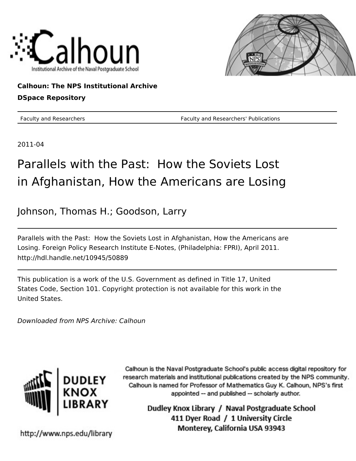



**Calhoun: The NPS Institutional Archive DSpace Repository**

Faculty and Researchers Faculty and Researchers' Publications

2011-04

# Parallels with the Past: How the Soviets Lost in Afghanistan, How the Americans are Losing

Johnson, Thomas H.; Goodson, Larry

Parallels with the Past: How the Soviets Lost in Afghanistan, How the Americans are Losing. Foreign Policy Research Institute E-Notes, (Philadelphia: FPRI), April 2011. http://hdl.handle.net/10945/50889

This publication is a work of the U.S. Government as defined in Title 17, United States Code, Section 101. Copyright protection is not available for this work in the United States.

Downloaded from NPS Archive: Calhoun



Calhoun is the Naval Postgraduate School's public access digital repository for research materials and institutional publications created by the NPS community. Calhoun is named for Professor of Mathematics Guy K. Calhoun, NPS's first appointed -- and published -- scholarly author.

> Dudley Knox Library / Naval Postgraduate School 411 Dyer Road / 1 University Circle Monterey, California USA 93943

http://www.nps.edu/library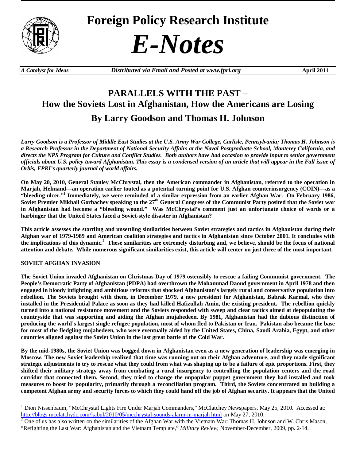

**Foreign Policy Research Institute** 



*A Catalyst for Ideas Distributed via Email and Posted at www.fpri.org* **April 2011 April 2011** 

# **PARALLELS WITH THE PAST – How the Soviets Lost in Afghanistan, How the Americans are Losing By Larry Goodson and Thomas H. Johnson**

*Larry Goodson is a Professor of Middle East Studies at the U.S. Army War College, Carlisle, Pennsylvania; Thomas H. Johnson is a Research Professor in the Department of National Security Affairs at the Naval Postgraduate School, Monterey California, and directs the NPS Program for Culture and Conflict Studies. Both authors have had occasion to provide input to senior government officials about U.S. policy toward Afghanistan. This essay is a condensed version of an article that will appear in the Fall issue of Orbis, FPRI's quarterly journal of world affairs.* 

**On May 20, 2010, General Stanley McChrystal, then the American commander in Afghanistan, referred to the operation in Marjah, Helmand—an operation earlier touted as a potential turning point for U.S. Afghan counterinsurgency (COIN)—as a "bleeding ulcer."<sup>1</sup> Immediately, we were reminded of a similar expression from an earlier Afghan War. On February 1986, Soviet Premier Mikhail Gorbachev speaking to the 27th General Congress of the Communist Party posited that the Soviet war in Afghanistan had become a "bleeding wound." Was McChrystal's comment just an unfortunate choice of words or a harbinger that the United States faced a Soviet-style disaster in Afghanistan?** 

**This article assesses the startling and unsettling similarities between Soviet strategies and tactics in Afghanistan during their Afghan war of 1979-1989 and American coalition strategies and tactics in Afghanistan since October 2001. It concludes with the implications of this dynamic.<sup>2</sup> These similarities are extremely disturbing and, we believe, should be the focus of national attention and debate. While numerous significant similarities exist, this article will center on just three of the most important.** 

## **SOVIET AFGHAN INVASION**

 $\overline{a}$ 

**The Soviet Union invaded Afghanistan on Christmas Day of 1979 ostensibly to rescue a failing Communist government. The People's Democratic Party of Afghanistan (PDPA) had overthrown the Mohammad Daoud government in April 1978 and then engaged in bloody infighting and ambitious reforms that shocked Afghanistan's largely rural and conservative population into rebellion. The Soviets brought with them, in December 1979, a new president for Afghanistan, Babrak Karmal, who they installed in the Presidential Palace as soon as they had killed Hafizullah Amin, the existing president. The rebellion quickly turned into a national resistance movement and the Soviets responded with sweep and clear tactics aimed at depopulating the countryside that was supporting and aiding the Afghan mujahedeen. By 1981, Afghanistan had the dubious distinction of producing the world's largest single refugee population, most of whom fled to Pakistan or Iran. Pakistan also became the base for most of the fledgling mujahedeen, who were eventually aided by the United States, China, Saudi Arabia, Egypt, and other countries aligned against the Soviet Union in the last great battle of the Cold War.** 

**By the mid-1980s, the Soviet Union was bogged down in Afghanistan even as a new generation of leadership was emerging in Moscow. The new Soviet leadership realized that time was running out on their Afghan adventure, and they made significant strategic adjustments to try to rescue what they could from what was shaping up to be a failure of epic proportions. First, they shifted their military strategy away from combating a rural insurgency to controlling the population centers and the road corridor that connected them. Second, they tried to change the unpopular puppet government they had installed and took measures to boost its popularity, primarily through a reconciliation program. Third, the Soviets concentrated on building a competent Afghan army and security forces to which they could hand off the job of Afghan security. It appears that the United** 

 $1$  Dion Nissenbaum, "McChrystal Lights Fire Under Marjah Commanders," McClatchey Newspapers, May 25, 2010. Accessed at: http://blogs mcclatchydc.com/kabul/2010/05/mcchrystal-sounds-alarm-in-marjah html on May 27, 2010.

 $\frac{1}{2}$  One of us has also written on the similarities of the Afghan War with the Vietnam War: Thomas H. Johnson and W. Chris Mason, "Refighting the Last War: Afghanistan and the Vietnam Template," *Military Review*, November-December, 2009, pp. 2-14.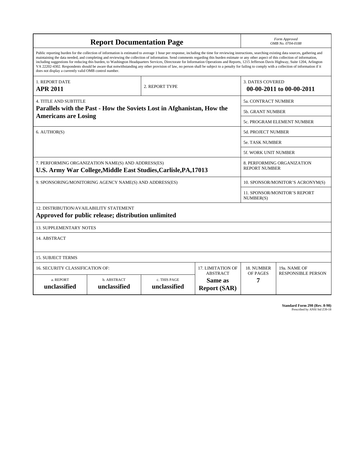| <b>Report Documentation Page</b>                                                                                                                                                                                                                                                                                                                                                                                                                                                                                                                                                                                                                                                                                                                                                                                                                                   |                                    |                              |                                | Form Approved<br>OMB No. 0704-0188                  |                                           |
|--------------------------------------------------------------------------------------------------------------------------------------------------------------------------------------------------------------------------------------------------------------------------------------------------------------------------------------------------------------------------------------------------------------------------------------------------------------------------------------------------------------------------------------------------------------------------------------------------------------------------------------------------------------------------------------------------------------------------------------------------------------------------------------------------------------------------------------------------------------------|------------------------------------|------------------------------|--------------------------------|-----------------------------------------------------|-------------------------------------------|
| Public reporting burden for the collection of information is estimated to average 1 hour per response, including the time for reviewing instructions, searching existing data sources, gathering and<br>maintaining the data needed, and completing and reviewing the collection of information. Send comments regarding this burden estimate or any other aspect of this collection of information,<br>including suggestions for reducing this burden, to Washington Headquarters Services, Directorate for Information Operations and Reports, 1215 Jefferson Davis Highway, Suite 1204, Arlington<br>VA 22202-4302. Respondents should be aware that notwithstanding any other provision of law, no person shall be subject to a penalty for failing to comply with a collection of information if it<br>does not display a currently valid OMB control number. |                                    |                              |                                |                                                     |                                           |
| 1. REPORT DATE<br><b>APR 2011</b>                                                                                                                                                                                                                                                                                                                                                                                                                                                                                                                                                                                                                                                                                                                                                                                                                                  | 2. REPORT TYPE                     |                              |                                | <b>3. DATES COVERED</b><br>00-00-2011 to 00-00-2011 |                                           |
| <b>4. TITLE AND SUBTITLE</b>                                                                                                                                                                                                                                                                                                                                                                                                                                                                                                                                                                                                                                                                                                                                                                                                                                       |                                    |                              |                                | <b>5a. CONTRACT NUMBER</b>                          |                                           |
| Parallels with the Past - How the Soviets Lost in Afghanistan, How the<br><b>Americans are Losing</b>                                                                                                                                                                                                                                                                                                                                                                                                                                                                                                                                                                                                                                                                                                                                                              |                                    |                              |                                | <b>5b. GRANT NUMBER</b>                             |                                           |
|                                                                                                                                                                                                                                                                                                                                                                                                                                                                                                                                                                                                                                                                                                                                                                                                                                                                    |                                    |                              |                                | 5c. PROGRAM ELEMENT NUMBER                          |                                           |
| 6. AUTHOR(S)                                                                                                                                                                                                                                                                                                                                                                                                                                                                                                                                                                                                                                                                                                                                                                                                                                                       |                                    |                              |                                | <b>5d. PROJECT NUMBER</b>                           |                                           |
|                                                                                                                                                                                                                                                                                                                                                                                                                                                                                                                                                                                                                                                                                                                                                                                                                                                                    |                                    |                              |                                | <b>5e. TASK NUMBER</b>                              |                                           |
|                                                                                                                                                                                                                                                                                                                                                                                                                                                                                                                                                                                                                                                                                                                                                                                                                                                                    |                                    |                              |                                | <b>5f. WORK UNIT NUMBER</b>                         |                                           |
| 7. PERFORMING ORGANIZATION NAME(S) AND ADDRESS(ES)<br>U.S. Army War College, Middle East Studies, Carlisle, PA, 17013                                                                                                                                                                                                                                                                                                                                                                                                                                                                                                                                                                                                                                                                                                                                              |                                    |                              |                                | 8. PERFORMING ORGANIZATION<br><b>REPORT NUMBER</b>  |                                           |
| 9. SPONSORING/MONITORING AGENCY NAME(S) AND ADDRESS(ES)                                                                                                                                                                                                                                                                                                                                                                                                                                                                                                                                                                                                                                                                                                                                                                                                            |                                    |                              |                                | 10. SPONSOR/MONITOR'S ACRONYM(S)                    |                                           |
|                                                                                                                                                                                                                                                                                                                                                                                                                                                                                                                                                                                                                                                                                                                                                                                                                                                                    |                                    |                              |                                | 11. SPONSOR/MONITOR'S REPORT<br>NUMBER(S)           |                                           |
| 12. DISTRIBUTION/AVAILABILITY STATEMENT<br>Approved for public release; distribution unlimited                                                                                                                                                                                                                                                                                                                                                                                                                                                                                                                                                                                                                                                                                                                                                                     |                                    |                              |                                |                                                     |                                           |
| <b>13. SUPPLEMENTARY NOTES</b>                                                                                                                                                                                                                                                                                                                                                                                                                                                                                                                                                                                                                                                                                                                                                                                                                                     |                                    |                              |                                |                                                     |                                           |
| 14. ABSTRACT                                                                                                                                                                                                                                                                                                                                                                                                                                                                                                                                                                                                                                                                                                                                                                                                                                                       |                                    |                              |                                |                                                     |                                           |
| <b>15. SUBJECT TERMS</b>                                                                                                                                                                                                                                                                                                                                                                                                                                                                                                                                                                                                                                                                                                                                                                                                                                           |                                    |                              |                                |                                                     |                                           |
| 16. SECURITY CLASSIFICATION OF:<br>17. LIMITATION OF<br><b>ABSTRACT</b>                                                                                                                                                                                                                                                                                                                                                                                                                                                                                                                                                                                                                                                                                                                                                                                            |                                    |                              |                                | 18. NUMBER<br><b>OF PAGES</b>                       | 19a. NAME OF<br><b>RESPONSIBLE PERSON</b> |
| a. REPORT<br>unclassified                                                                                                                                                                                                                                                                                                                                                                                                                                                                                                                                                                                                                                                                                                                                                                                                                                          | <b>b. ABSTRACT</b><br>unclassified | c. THIS PAGE<br>unclassified | Same as<br><b>Report (SAR)</b> | 7                                                   |                                           |

**Standard Form 298 (Rev. 8-98)**<br>Prescribed by ANSI Std Z39-18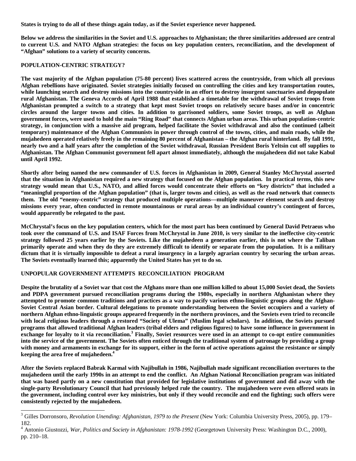**States is trying to do all of these things again today, as if the Soviet experience never happened.** 

**Below we address the similarities in the Soviet and U.S. approaches to Afghanistan; the three similarities addressed are central to current U.S. and NATO Afghan strategies: the focus on key population centers, reconciliation, and the development of "Afghan" solutions to a variety of security concerns.** 

#### **POPULATION-CENTRIC STRATEGY?**

**The vast majority of the Afghan population (75-80 percent) lives scattered across the countryside, from which all previous Afghan rebellions have originated. Soviet strategies initially focused on controlling the cities and key transportation routes, while launching search and destroy missions into the countryside in an effort to destroy insurgent sanctuaries and depopulate rural Afghanistan. The Geneva Accords of April 1988 that established a timetable for the withdrawal of Soviet troops from Afghanistan prompted a switch to a strategy that kept most Soviet troops on relatively secure bases and/or in concentric circles around the larger towns and cities. In addition to garrisoned soldiers, some Soviet troops, as well as Afghan government forces, were used to hold the main "Ring Road" that connects Afghan urban areas. This urban population-centric strategy, in conjunction with a massive aid program, helped facilitate the Soviet withdrawal and also the continued (albeit temporary) maintenance of the Afghan Communists in power through control of the towns, cities, and main roads, while the mujahedeen operated relatively freely in the remaining 80 percent of Afghanistan – the Afghan rural hinterland. By fall 1991, nearly two and a half years after the completion of the Soviet withdrawal, Russian President Boris Yeltsin cut off supplies to Afghanistan. The Afghan Communist government fell apart almost immediately, although the mujahedeen did not take Kabul until April 1992.** 

**Shortly after being named the new commander of U.S. forces in Afghanistan in 2009, General Stanley McChrystal asserted that the situation in Afghanistan required a new strategy that focused on the Afghan population. In practical terms, this new strategy would mean that U.S., NATO, and allied forces would concentrate their efforts on "key districts" that included a "meaningful proportion of the Afghan population" (that is, larger towns and cities), as well as the road network that connects them. The old "enemy-centric" strategy that produced multiple operations—multiple maneuver element search and destroy missions every year, often conducted in remote mountainous or rural areas by an individual country's contingent of forces, would apparently be relegated to the past.** 

**McChrystal's focus on the key population centers, which for the most part has been continued by General David Petraeus who took over the command of U.S. and ISAF Forces from McChrystal in June 2010, is very similar to the ineffective city-centric strategy followed 25 years earlier by the Soviets. Like the mujahedeen a generation earlier, this is not where the Taliban primarily operate and when they do they are extremely difficult to identify or separate from the population. It is a military dictum that it is virtually impossible to defeat a rural insurgency in a largely agrarian country by securing the urban areas. The Soviets eventually learned this; apparently the United States has yet to do so.** 

## **UNPOPULAR GOVERNMENT ATTEMPTS RECONCILIATION PROGRAM**

**Despite the brutality of a Soviet war that cost the Afghans more than one million killed to about 15,000 Soviet dead, the Soviets and PDPA government pursued reconciliation programs during the 1980s, especially in northern Afghanistan where they attempted to promote common traditions and practices as a way to pacify various ethno-linguistic groups along the Afghan-Soviet Central Asian border. Cultural delegations to promote understanding between the Soviet occupiers and a variety of northern Afghan ethno-linguistic groups appeared frequently in the northern provinces, and the Soviets even tried to reconcile with local religious leaders through a restored "Society of Ulema" (Muslim legal scholars). In addition, the Soviets pursued programs that allowed traditional Afghan leaders (tribal elders and religious figures) to have some influence in government in exchange for loyalty to it via reconciliation.<sup>3</sup> Finally, Soviet resources were used in an attempt to co-opt entire communities into the service of the government. The Soviets often enticed through the traditional system of patronage by providing a group with money and armaments in exchange for its support, either in the form of active operations against the resistance or simply keeping the area free of mujahedeen.<sup>4</sup>** 

**After the Soviets replaced Babrak Karmal with Najibullah in 1986, Najibullah made significant reconciliation overtures to the mujahedeen until the early 1990s in an attempt to end the conflict. An Afghan National Reconciliation program was initiated that was based partly on a new constitution that provided for legislative institutions of government and did away with the single-party Revolutionary Council that had previously helped rule the country. The mujahedeen were even offered seats in the government, including control over key ministries, but only if they would reconcile and end the fighting; such offers were consistently rejected by the mujahedeen.** 

 3 Gilles Dorronsoro, *Revolution Unending: Afghanistan, 1979 to the Present* (New York: Columbia University Press, 2005), pp. 179– 182.

<sup>4</sup> Antonio Giustozzi, *War, Politics and Society in Afghanistan: 1978-1992* (Georgetown University Press: Washington D.C., 2000), pp. 210–18.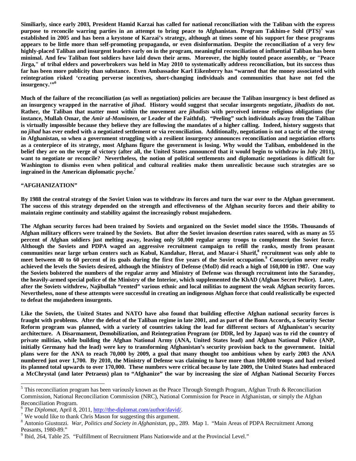**Similiarly, since early 2003, President Hamid Karzai has called for national reconciliation with the Taliban with the express purpose to reconcile warring parties in an attempt to bring peace to Afghanistan. Program Takhim-e Sohl (PTS)<sup>5</sup> was established in 2005 and has been a keystone of Karzai's strategy, although at times some of his support for these programs appears to be little more than self-promoting propaganda, or even disinformation. Despite the reconciliation of a very few highly-placed Taliban and insurgent leaders early on in the program, meaningful reconciliation of influential Taliban has been minimal. And few Taliban foot soldiers have laid down their arms. Moreover, the highly touted peace assembly, or "Peace Jirga," of tribal elders and powerbrokers was held in May 2010 to systematically address reconciliation, but its success thus far has been more publicity than substance. Even Ambassador Karl Eikenberry has "warned that the money associated with reintegration risked 'creating perverse incentives, short-changing individuals and communities that have not fed the insurgency.'"<sup>6</sup>** 

**Much of the failure of the reconciliation (as well as negotiation) policies are because the Taliban insurgency is best defined as an insurgency wrapped in the narrative of** *jihad***. History would suggest that secular insurgents negotiate,** *jihadists* **do not. Rather, the Taliban that matter most within the movement are** *jihadists* **with perceived intense religious obligations (for instance, Mullah Omar, the** *Amir ul-Momineen***, or Leader of the Faithful). "Peeling" such individuals away from the Taliban is virtually impossible because they believe they are following the mandates of a higher calling. Indeed, history suggests that no** *jihad* **has ever ended with a negotiated settlement or via reconciliation. Additionally, negotiation is not a tactic of the strong in Afghanistan, so when a government struggling with a resilient insurgency announces reconciliation and negotiation efforts as a centerpiece of its strategy, most Afghans figure the government is losing. Why would the Taliban, emboldened in the belief they are on the verge of victory (after all, the United States announced that it would begin to withdraw in July 2011), want to negotiate or reconcile? Nevertheless, the notion of political settlements and diplomatic negotiations is difficult for Washington to dismiss even when political and cultural realities make them unrealistic because such strategies are so ingrained in the American diplomatic psyche.<sup>7</sup>** 

#### **"AFGHANIZATION"**

**By 1988 the central strategy of the Soviet Union was to withdraw its forces and turn the war over to the Afghan government. The success of this strategy depended on the strength and effectiveness of the Afghan security forces and their ability to maintain regime continuity and stability against the increasingly robust mujahedeen.** 

**The Afghan security forces had been trained by Soviets and organized on the Soviet model since the 1950s. Thousands of Afghan military officers were trained by the Soviets. But after the Soviet invasion desertion rates soared, with as many as 55 percent of Afghan soldiers just melting away, leaving only 50,000 regular army troops to complement the Soviet force. Although the Soviets and PDPA waged an aggressive recruitment campaign to refill the ranks, mostly from peasant communities near large urban centers such as Kabul, Kandahar, Herat, and Mazar-i Sharif,<sup>8</sup> recruitment was only able to meet between 40 to 60 percent of its goals during the first five years of the Soviet occupation.<sup>9</sup> Conscription never really achieved the levels the Soviets desired, although the Ministry of Defense (MoD) did reach a high of 160,000 in 1987. One way the Soviets bolstered the numbers of the regular army and Ministry of Defense was through recruitment into the Sarandoy, the heavily-armed special police of the Ministry of the Interior, which supplemented the KhAD (Afghan Secret Police). Later, after the Soviets withdrew, Najibullah "rented" various ethnic and local militias to augment the weak Afghan security forces. Nevertheless, none of these attempts were successful in creating an indigenous Afghan force that could realistically be expected to defeat the mujahedeen insurgents.** 

**Like the Soviets, the United States and NATO have also found that building effective Afghan national security forces is fraught with problems. After the defeat of the Taliban regime in late 2001, and as part of the Bonn Accords, a Security Sector Reform program was planned, with a variety of countries taking the lead for different sectors of Afghanistan's security architecture. A Disarmament, Demobilization, and Reintegration Program (or DDR, led by Japan) was to rid the country of private militias, while building the Afghan National Army (ANA, United States lead) and Afghan National Police (ANP, initially Germany had the lead) were key to transforming Afghanistan's security provision back to the government. Initial plans were for the ANA to reach 70,000 by 2009, a goal that many thought too ambitious when by early 2003 the ANA numbered just over 1,700. By 2010, the Ministry of Defense was claiming to have more than 100,000 troops and had revised its planned total upwards to over 170,000. These numbers were critical because by late 2009, the United States had embraced a McChrystal (and later Petraeus) plan to "Afghanize" the war by increasing the size of Afghan National Security Forces** 

<sup>&</sup>lt;sup>5</sup> This reconciliation program has been variously known as the Peace Through Strength Program, Afghan Truth & Reconciliation Commission, National Reconciliation Commission (NRC), National Commission for Peace in Afghanistan, or simply the Afghan Reconciliation Program.

<sup>6</sup> *The Diplomat*, April 8, 2011, http://the-diplomat.com/author/david/.

 $7$  We would like to thank Chris Mason for suggesting this argument.

<sup>&</sup>lt;sup>8</sup> Antonio Giustozzi. *War, Politics and Society in Afghanistan, pp., 289. Map 1. "Main Areas of PDPA Recruitment Among* Peasants, 1980-89."

<sup>&</sup>lt;sup>9</sup> Ibid, 264, Table 25. "Fulfillment of Recruitment Plans Nationwide and at the Provincial Level."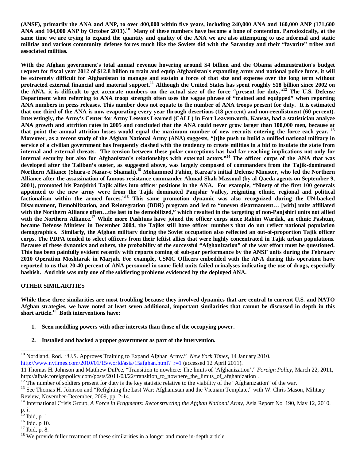**(ANSF), primarily the ANA and ANP, to over 400,000 within five years, including 240,000 ANA and 160,000 ANP (171,600 ANA and 104,000 ANP by October 2011).<sup>10</sup> Many of these numbers have become a bone of contention. Parodoxically, at the same time we are trying to expand the quantity and quality of the ANA we are also attempting to use informal and static militias and various community defense forces much like the Soviets did with the Sarandoy and their "favorite" tribes and associated militias.** 

**With the Afghan government's total annual revenue hovering around \$4 billion and the Obama administration's budget request for fiscal year 2012 of \$12.8 billion to train and equip Afghanistan's expanding army and national police force, it will be extremely difficult for Afghanistan to manage and sustain a force of that size and expense over the long term without protracted external financial and material support.<sup>11</sup> Although the United States has spent roughly \$18 billion since 2002 on the ANA, it is difficult to get accurate numbers on the actual size of the force "present for duty."<sup>12</sup> The U.S. Defense Department when referring to ANA troop strength often uses the vague phrase of "trained and equipped" when reporting ANA numbers in press releases. This number does not equate to the number of ANA troops present for duty. It is estimated that one third of the ANA is now evaporating every year through desertions (18 percent) and non-reenlistment (60 percent). Interestingly, the Army's Center for Army Lessons Learned (CALL) in Fort Leavenworth, Kansas, had a statistician analyze ANA growth and attrition rates in 2005 and concluded that the ANA could never grow larger than 100,000 men, because at that point the annual attrition losses would equal the maximum number of new recruits entering the force each year. <sup>13</sup> Moreover, as a recent study of the Afghan National Army (ANA) suggests, "[t]he push to build a unified national military in service of a civilian government has frequently clashed with the tendency to create militias in a bid to insulate the state from internal and external threats. The tension between these polar conceptions has had far reaching implications not only for internal security but also for Afghanistan's relationships with external actors."<sup>14</sup> The officer corps of the ANA that was developed after the Taliban's ouster, as suggested above, was largely composed of commanders from the Tajik-dominated Northern Alliance (Shura-e Nazar-e Shamali).<sup>15</sup> Mohammed Fahim, Karzai's initial Defense Minister, who led the Northern Alliance after the assassination of famous resistance commander Ahmad Shah Massoud (by al Qaeda agents on September 9, 2001), promoted his Panjshiri Tajik allies into officer positions in the ANA. For example, "Ninety of the first 100 generals appointed to the new army were from the Tajik dominated Panjshir Valley, reigniting ethnic, regional and political factionalism within the armed forces."<sup>16</sup> This same promotion dynamic was also recognized during the UN-backed Disarmament, Demobilization, and Reintegration (DDR) program and led to "uneven disarmament… [with] units affiliated**  with the Northern Alliance often...the last to be demobilized," which resulted in the targeting of non-Panjshiri units not allied **with the Northern Alliance.<sup>17</sup> While more Pashtuns have joined the officer corps since Rahim Wardak, an ethnic Pashtun, became Defense Minister in December 2004, the Tajiks still have officer numbers that do not reflect national population demographics. Similarly, the Afghan military during the Soviet occupation also reflected an out-of-proportion Tajik officer corps. The PDPA tended to select officers from their leftist allies that were highly concentrated in Tajik urban populations. Because of these dynamics and others, the probability of the successful "Afghanization" of the war effort must be questioned. This has been painfully evident recently with reports coming of sub-par performance by the ANSF units during the February 2010 Operation Moshtarak in Marjah. For example, USMC Officers embedded with the ANA during this operation have reported to us that 20-40 percent of ANA personnel in some field units failed urinalyses indicating the use of drugs, especially hashish. And this was only one of the soldiering problems evidenced by the deployed ANA.** 

## **OTHER SIMILARITIES**

**While these three similarities are most troubling because they involved dynamics that are central to current U.S. and NATO Afghan strategies, we have noted at least seven additional, important similarities that cannot be discussed in depth in this short article.<sup>18</sup> Both interventions have:** 

- **1. Seen meddling powers with other interests than those of the occupying power.**
- **2. Installed and backed a puppet government as part of the intervention.**

http://www.nytimes.com/2010/01/15/world/asia/15afghan.html? r=1 (accessed 12 April 2011).

 10 Nordland, Rod. "U.S. Approves Training to Expand Afghan Army." *New York Times*, 14 January 2010.

<sup>11</sup> Thomas H. Johnson and Matthew DuPee, "Transition to nowhere: The limits of 'Afghanization'," *Foreign Policy*, March 22, 2011, http://afpak.foreignpolicy.com/posts/2011/03/22/transition\_to\_nowhere\_the\_limits\_of\_afghanization .

 $12$  The number of soldiers present for duty is the key statistic relative to the viability of the "Afghanization" of the war.

<sup>&</sup>lt;sup>13</sup> See Thomas H. Johnson and "Refighting the Last War: Afghanistan and the Vietnam Template," with W. Chris Mason, Military Review, November-December, 2009, pp. 2-14.

<sup>&</sup>lt;sup>14</sup> International Crisis Group, *A Force in Fragments: Reconstructing the Afghan National Army*, Asia Report No. 190, May 12, 2010, p. i.

 $^{15}$  Ibid, p. 1.

 $16$  Ibid. p 10.

<sup>17</sup> Ibid, p. 8.

<sup>&</sup>lt;sup>18</sup> We provide fuller treatment of these similarities in a longer and more in-depth article.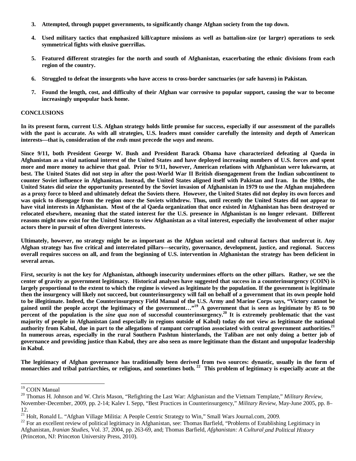- **3. Attempted, through puppet governments, to significantly change Afghan society from the top down.**
- **4. Used military tactics that emphasized kill/capture missions as well as battalion-size (or larger) operations to seek symmetrical fights with elusive guerrillas.**
- **5. Featured different strategies for the north and south of Afghanistan, exacerbating the ethnic divisions from each region of the country.**
- **6. Struggled to defeat the insurgents who have access to cross-border sanctuaries (or safe havens) in Pakistan.**
- **7. Found the length, cost, and difficulty of their Afghan war corrosive to popular support, causing the war to become increasingly unpopular back home.**

#### **CONCLUSIONS**

**In its present form, current U.S. Afghan strategy holds little promise for success, especially if our assessment of the parallels with the past is accurate. As with all strategies, U.S. leaders must consider carefully the intensity and depth of American interests—that is, consideration of the** *ends* **must precede the** *ways* **and** *means***.** 

**Since 9/11, both President George W. Bush and President Barack Obama have characterized defeating al Qaeda in Afghanistan as a vital national interest of the United States and have deployed increasing numbers of U.S. forces and spent more and more money to achieve that goal. Prior to 9/11, however, American relations with Afghanistan were lukewarm, at best. The United States did not step in after the post-World War II British disengagement from the Indian subcontinent to counter Soviet influence in Afghanistan. Instead, the United States aligned itself with Pakistan and Iran. In the 1980s, the United States did seize the opportunity presented by the Soviet invasion of Afghanistan in 1979 to use the Afghan mujahedeen as a proxy force to bleed and ultimately defeat the Soviets there. However, the United States did not deploy its own forces and was quick to disengage from the region once the Soviets withdrew. Thus, until recently the United States did not appear to have vital interests in Afghanistan. Most of the al Qaeda organization that once existed in Afghanistan has been destroyed or relocated elsewhere, meaning that the stated interest for the U.S. presence in Afghanistan is no longer relevant. Different reasons might now exist for the United States to view Afghanistan as a vital interest, especially the involvement of other major actors there in pursuit of often divergent interests.** 

**Ultimately, however, no strategy might be as important as the Afghan societal and cultural factors that undercut it. Any Afghan strategy has five critical and interrelated pillars—security, governance, development, justice, and regional. Success overall requires success on all, and from the beginning of U.S. intervention in Afghanistan the strategy has been deficient in several areas.** 

**First, security is not the key for Afghanistan, although insecurity undermines efforts on the other pillars. Rather, we see the center of gravity as government legitimacy. Historical analyses have suggested that success in a counterinsurgency (COIN) is largely proportional to the extent to which the regime is viewed as legitimate by the population. If the government is legitimate then the insurgency will likely not succeed, but counterinsurgency will fail on behalf of a government that its own people hold to be illegitimate. Indeed, the Counterinsurgency Field Manual of the U.S. Army and Marine Corps says, "Victory cannot be gained until the people accept the legitimacy of the government…"<sup>19</sup> A government that is seen as legitimate by 85 to 90 percent of the population is the** *sine qua non* **of successful counterinsurgency.<sup>20</sup> It is extremely problematic that the vast majority of people in Afghanistan (and especially in regions outside of Kabul) today do not view as legitimate the national authority from Kabul, due in part to the allegations of rampant corruption associated with central government authorities.<sup>21</sup> In numerous areas, especially in the rural Southern Pashtun hinterlands, the Taliban are not only doing a better job of governance and providing justice than Kabul, they are also seen as more legitimate than the distant and unpopular leadership in Kabul.** 

**The legitimacy of Afghan governance has traditionally been derived from two sources: dynastic, usually in the form of monarchies and tribal patriarchies, or religious, and sometimes both.<sup>22</sup> This problem of legitimacy is especially acute at the** 

 $\overline{a}$ 

<sup>&</sup>lt;sup>19</sup> COIN Manual

<sup>20</sup> Thomas H. Johnson and W. Chris Mason, "Refighting the Last War: Afghanistan and the Vietnam Template," *Military Review*, November-December, 2009, pp. 2-14; Kalev I. Sepp, "Best Practices in Counterinsurgency," *Military Review,* May-June 2005, pp. 8– 12.

<sup>&</sup>lt;sup>21</sup> Holt. Ronald L. "Afghan Village Militia: A People Centric Strategy to Win," Small Wars Journal.com, 2009.

<sup>&</sup>lt;sup>22</sup> For an excellent review of political legitimacy in Afghanistan, see: Thomas Barfield, "Problems of Establishing Legitimacy in Afghanistan, *Iranian Studies*, Vol. 37, 2004, pp. 263-69, and; Thomas Barfield, *Afghanistan: A Cultural and Political History* (Princeton, NJ: Princeton University Press, 2010).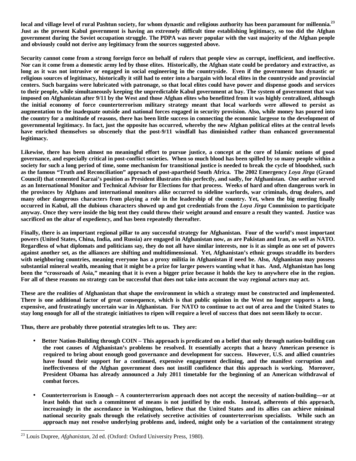**local and village level of rural Pashtun society, for whom dynastic and religious authority has been paramount for millennia.<sup>23</sup> Just as the present Kabul government is having an extremely difficult time establishing legitimacy, so too did the Afghan government during the Soviet occupation struggle. The PDPA was never popular with the vast majority of the Afghan people and obviously could not derive any legitimacy from the sources suggested above.** 

**Security cannot come from a strong foreign force on behalf of rulers that people view as corrupt, inefficient, and ineffective. Nor can it come from a domestic army led by those elites. Historically, the Afghan state could be predatory and extractive, as long as it was not intrusive or engaged in social engineering in the countryside. Even if the government has dynastic or religious sources of legitimacy, historically it still had to enter into a bargain with local elites in the countryside and provincial centers. Such bargains were lubricated with patronage, so that local elites could have power and dispense goods and services to their people, while simultaneously keeping the unpredictable Kabul government at bay. The system of government that was imposed on Afghanistan after 9/11 by the West and those Afghan elites who benefitted from it was highly centralized, although the initial economy of force counterterrorism military strategy meant that local warlords were allowed to persist as augmentation to the inadequate outside and national forces engaged in security provision. Also, while money has poured into the country for a multitude of reasons, there has been little success in connecting the economic largesse to the development of governmental legitimacy. In fact, just the opposite has occurred, whereby the new Afghan political elites at the central levels**  have enriched themselves so obscenely that the post-9/11 windfall has diminished rather than enhanced governmental **legitimacy.** 

**Likewise, there has been almost no meaningful effort to pursue justice, a concept at the core of Islamic notions of good governance, and especially critical in post-conflict societies. When so much blood has been spilled by so many people within a society for such a long period of time, some mechanism for transitional justice is needed to break the cycle of bloodshed, such as the famous "Truth and Reconciliation" approach of post-apartheid South Africa. The 2002 Emergency** *Loya Jirga* **(Grand Council) that cemented Karzai's position as President illustrates this perfectly, and sadly, for Afghanistan. One author served as an International Monitor and Technical Advisor for Elections for that process. Weeks of hard and often dangerous work in the provinces by Afghans and international monitors alike occurred to sideline warlords, war criminals, drug dealers, and many other dangerous characters from playing a role in the leadership of the country. Yet, when the big meeting finally occurred in Kabul, all the dubious characters showed up and got credentials from the** *Loya Jirga* **Commission to participate anyway. Once they were inside the big tent they could throw their weight around and ensure a result they wanted. Justice was sacrificed on the altar of expediency, and has been repeatedly thereafter.** 

**Finally, there is an important regional pillar to any successful strategy for Afghanistan. Four of the world's most important powers (United States, China, India, and Russia) are engaged in Afghanistan now, as are Pakistan and Iran, as well as NATO. Regardless of what diplomats and politicians say, they do not all have similar interests, nor is it as simple as one set of powers against another set, as the alliances are shifting and multidimensional. Yet, Afghanistan's ethnic groups straddle its borders with neighboring countries, meaning everyone has a proxy militia in Afghanistan if need be. Also, Afghanistan may possess substantial mineral wealth, meaning that it might be a prize for larger powers wanting what it has. And, Afghanistan has long been the "crossroads of Asia," meaning that it is even a bigger prize because it holds the key to anywhere else in the region. For all of these reasons no strategy can be successful that does not take into account the way regional actors may act.** 

**These are the realities of Afghanistan that shape the environment in which a strategy must be constructed and implemented. There is one additional factor of great consequence, which is that public opinion in the West no longer supports a long, expensive, and frustratingly uncertain war in Afghanistan. For NATO to continue to act out of area and the United States to stay long enough for all of the strategic initiatives to ripen will require a level of success that does not seem likely to occur.** 

**Thus, there are probably three potential strategies left to us. They are:** 

- **Better Nation-Building through COIN This approach is predicated on a belief that only through nation-building can the root causes of Afghanistan's problems be resolved. It essentially accepts that a heavy American presence is required to bring about enough good governance and development for success. However, U.S. and allied countries have found their support for a continued, expensive engagement declining, and the manifest corruption and ineffectiveness of the Afghan government does not instill confidence that this approach is working. Moreover, President Obama has already announced a July 2011 timetable for the beginning of an American withdrawal of combat forces.**
- **Counterterrorism is Enough A counterterrorism approach does not accept the necessity of nation-building—or at least holds that such a commitment of means is not justified by the ends. Instead, adherents of this approach, increasingly in the ascendance in Washington, believe that the United States and its allies can achieve minimal national security goals through the relatively secretive activities of counterterrorism specialists. While such an approach may not resolve underlying problems and, indeed, might only be a variation of the containment strategy**

 $\overline{a}$ 

<sup>23</sup> Louis Dupree, *Afghanistan,* 2d ed. (Oxford: Oxford University Press, 1980).